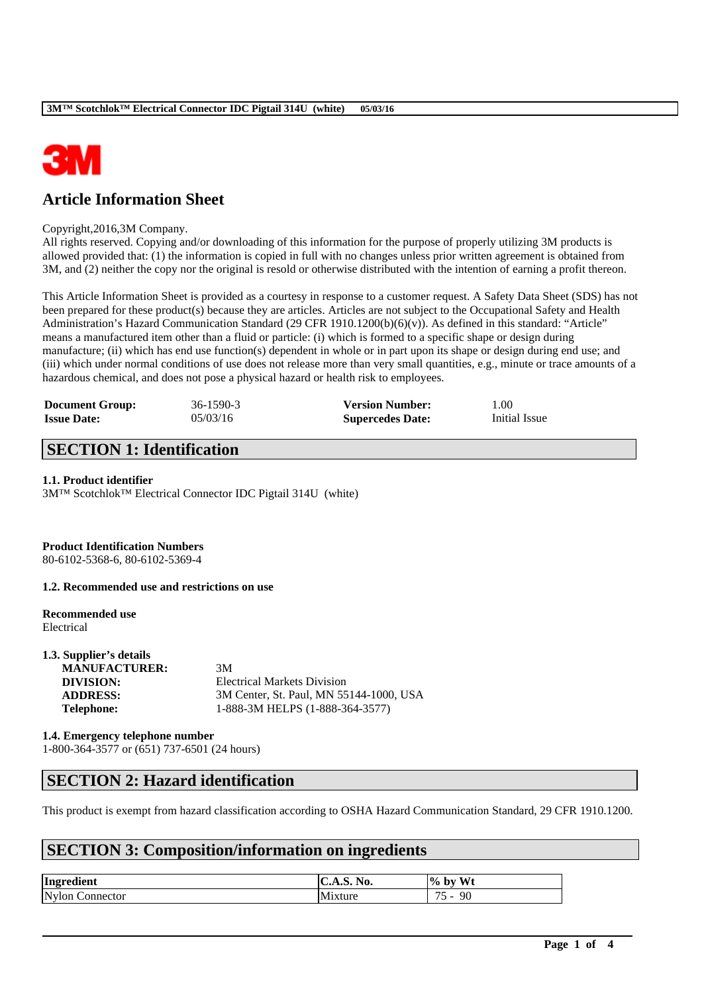

# **Article Information Sheet**

#### Copyright,2016,3M Company.

All rights reserved. Copying and/or downloading of this information for the purpose of properly utilizing 3M products is allowed provided that: (1) the information is copied in full with no changes unless prior written agreement is obtained from 3M, and (2) neither the copy nor the original is resold or otherwise distributed with the intention of earning a profit thereon.

This Article Information Sheet is provided as a courtesy in response to a customer request. A Safety Data Sheet (SDS) has not been prepared for these product(s) because they are articles. Articles are not subject to the Occupational Safety and Health Administration's Hazard Communication Standard (29 CFR 1910.1200(b)(6)(v)). As defined in this standard: "Article" means a manufactured item other than a fluid or particle: (i) which is formed to a specific shape or design during manufacture; (ii) which has end use function(s) dependent in whole or in part upon its shape or design during end use; and (iii) which under normal conditions of use does not release more than very small quantities, e.g., minute or trace amounts of a hazardous chemical, and does not pose a physical hazard or health risk to employees.

| <b>Document Group:</b> | 36-1590-3 | <b>Version Number:</b>  | 1.00          |
|------------------------|-----------|-------------------------|---------------|
| <b>Issue Date:</b>     | 05/03/16  | <b>Supercedes Date:</b> | Initial Issue |

### **SECTION 1: Identification**

#### **1.1. Product identifier**

3M™ Scotchlok™ Electrical Connector IDC Pigtail 314U (white)

### **Product Identification Numbers**

80-6102-5368-6, 80-6102-5369-4

#### **1.2. Recommended use and restrictions on use**

#### **Recommended use** Electrical

| 1.3. Supplier's details |                                         |
|-------------------------|-----------------------------------------|
| <b>MANUFACTURER:</b>    | 3M                                      |
| DIVISION:               | <b>Electrical Markets Division</b>      |
| <b>ADDRESS:</b>         | 3M Center, St. Paul, MN 55144-1000, USA |
| <b>Telephone:</b>       | 1-888-3M HELPS (1-888-364-3577)         |
|                         |                                         |

**1.4. Emergency telephone number** 1-800-364-3577 or (651) 737-6501 (24 hours)

### **SECTION 2: Hazard identification**

This product is exempt from hazard classification according to OSHA Hazard Communication Standard, 29 CFR 1910.1200.

\_\_\_\_\_\_\_\_\_\_\_\_\_\_\_\_\_\_\_\_\_\_\_\_\_\_\_\_\_\_\_\_\_\_\_\_\_\_\_\_\_\_\_\_\_\_\_\_\_\_\_\_\_\_\_\_\_\_\_\_\_\_\_\_\_\_\_\_\_\_\_\_\_\_\_\_\_\_\_\_\_\_\_\_\_\_\_\_\_\_

### **SECTION 3: Composition/information on ingredients**

| Ingredient         | <b>C.A.S. No.</b> | Wt<br>$%$ by                                                                           |
|--------------------|-------------------|----------------------------------------------------------------------------------------|
| Nvlon<br>Connector | M1xture           | $\overline{\phantom{a}}$<br>90<br>$\overline{\phantom{a}}$<br>$\overline{\phantom{0}}$ |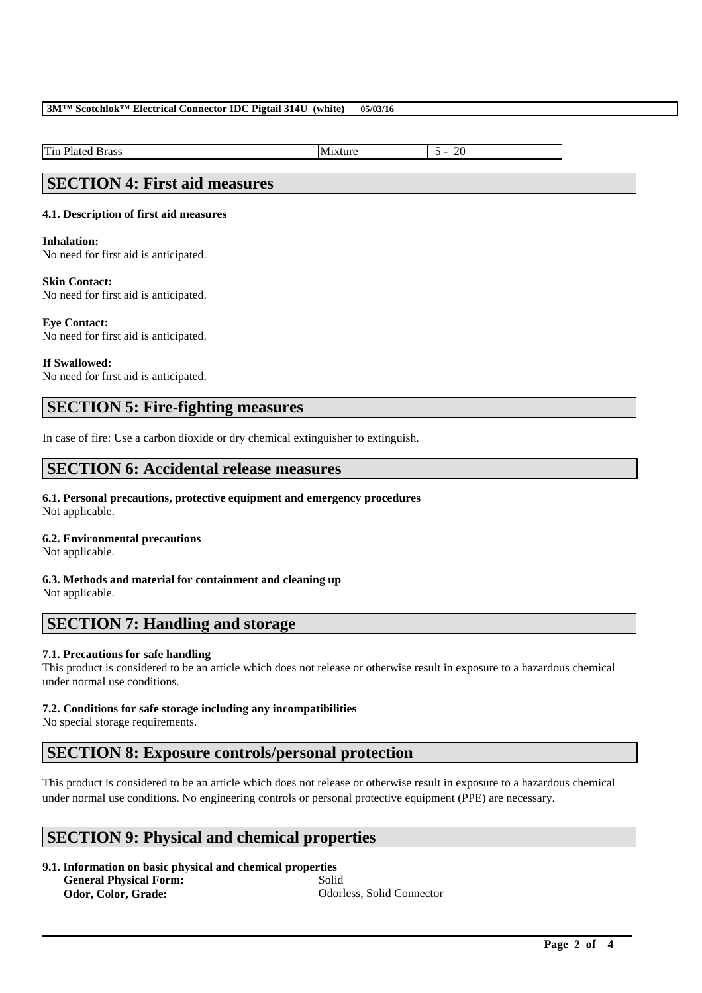### **3M™ Scotchlok™ Electrical Connector IDC Pigtail 314U (white) 05/03/16**

Tin Plated Brass Mixture 5 - 20

### **SECTION 4: First aid measures**

### **4.1. Description of first aid measures**

#### **Inhalation:**

No need for first aid is anticipated.

#### **Skin Contact:**

No need for first aid is anticipated.

#### **Eye Contact:**

No need for first aid is anticipated.

### **If Swallowed:**

No need for first aid is anticipated.

### **SECTION 5: Fire-fighting measures**

In case of fire: Use a carbon dioxide or dry chemical extinguisher to extinguish.

### **SECTION 6: Accidental release measures**

**6.1. Personal precautions, protective equipment and emergency procedures** Not applicable.

# **6.2. Environmental precautions**

Not applicable.

# **6.3. Methods and material for containment and cleaning up**

Not applicable.

## **SECTION 7: Handling and storage**

### **7.1. Precautions for safe handling**

This product is considered to be an article which does not release or otherwise result in exposure to a hazardous chemical under normal use conditions.

### **7.2. Conditions for safe storage including any incompatibilities**

No special storage requirements.

### **SECTION 8: Exposure controls/personal protection**

This product is considered to be an article which does not release or otherwise result in exposure to a hazardous chemical under normal use conditions. No engineering controls or personal protective equipment (PPE) are necessary.

\_\_\_\_\_\_\_\_\_\_\_\_\_\_\_\_\_\_\_\_\_\_\_\_\_\_\_\_\_\_\_\_\_\_\_\_\_\_\_\_\_\_\_\_\_\_\_\_\_\_\_\_\_\_\_\_\_\_\_\_\_\_\_\_\_\_\_\_\_\_\_\_\_\_\_\_\_\_\_\_\_\_\_\_\_\_\_\_\_\_

### **SECTION 9: Physical and chemical properties**

**9.1. Information on basic physical and chemical properties General Physical Form:** Solid **Odor, Color, Grade:** Odorless, Solid Connector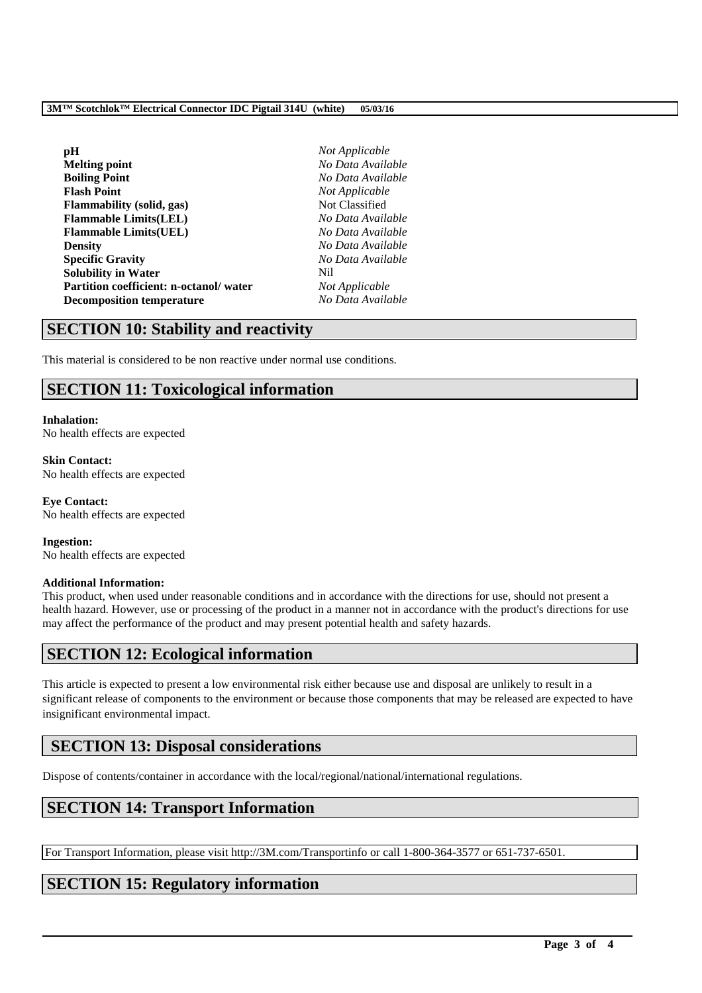### **3M™ Scotchlok™ Electrical Connector IDC Pigtail 314U (white) 05/03/16**

| рH                                     | No  |
|----------------------------------------|-----|
| <b>Melting point</b>                   | No  |
| <b>Boiling Point</b>                   | No  |
| <b>Flash Point</b>                     | No  |
| <b>Flammability</b> (solid, gas)       | No  |
| <b>Flammable Limits(LEL)</b>           | No  |
| <b>Flammable Limits (UEL)</b>          | No  |
| <b>Density</b>                         | No  |
| <b>Specific Gravity</b>                | No  |
| <b>Solubility in Water</b>             | Nil |
| Partition coefficient: n-octanol/water | No  |
| <b>Decomposition temperature</b>       | No  |

**Not Applicable Melting point** *No Data Available* **Boiling Point** *No Data Available*  $Not Appliedble$ **Not Classified Flammable Limits(LEL)** *No Data Available* **Flammable Limits(UEL)** *No Data Available* **Density** *No Data Available* **Specific Gravity** *No Data Available*  $Not Applicable$ **Decomposition temperature** *No Data Available*

# **SECTION 10: Stability and reactivity**

This material is considered to be non reactive under normal use conditions.

# **SECTION 11: Toxicological information**

### **Inhalation:** No health effects are expected

**Skin Contact:** No health effects are expected

**Eye Contact:** No health effects are expected

**Ingestion:** No health effects are expected

### **Additional Information:**

This product, when used under reasonable conditions and in accordance with the directions for use, should not present a health hazard. However, use or processing of the product in a manner not in accordance with the product's directions for use may affect the performance of the product and may present potential health and safety hazards.

## **SECTION 12: Ecological information**

This article is expected to present a low environmental risk either because use and disposal are unlikely to result in a significant release of components to the environment or because those components that may be released are expected to have insignificant environmental impact.

## **SECTION 13: Disposal considerations**

Dispose of contents/container in accordance with the local/regional/national/international regulations.

## **SECTION 14: Transport Information**

For Transport Information, please visit http://3M.com/Transportinfo or call 1-800-364-3577 or 651-737-6501.

\_\_\_\_\_\_\_\_\_\_\_\_\_\_\_\_\_\_\_\_\_\_\_\_\_\_\_\_\_\_\_\_\_\_\_\_\_\_\_\_\_\_\_\_\_\_\_\_\_\_\_\_\_\_\_\_\_\_\_\_\_\_\_\_\_\_\_\_\_\_\_\_\_\_\_\_\_\_\_\_\_\_\_\_\_\_\_\_\_\_

## **SECTION 15: Regulatory information**